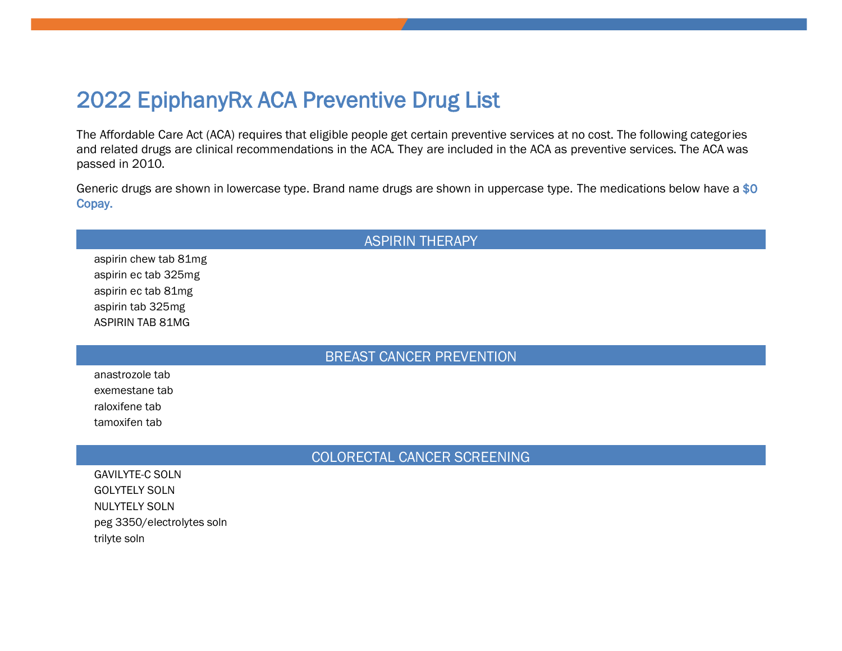# 2022 EpiphanyRx ACA Preventive Drug List

The Affordable Care Act (ACA) requires that eligible people get certain preventive services at no cost. The following categories and related drugs are clinical recommendations in the ACA. They are included in the ACA as preventive services. The ACA was passed in 2010.

Generic drugs are shown in lowercase type. Brand name drugs are shown in uppercase type. The medications below have a \$0 Copay.

# **ASPIRIN THERAPY** aspirin chew tab 81mg aspirin ec tab 325mg aspirin ec tab 81mg aspirin tab 325mg **ASPIRIN TAB 81MG BREAST CANCER PREVENTION** anastrozole tab exemestane tab raloxifene tab tamoxifen tab COLORECTAL CANCER SCREENING **GAVILYTE-C SOLN GOLYTELY SOLN**

**NULYTELY SOLN** peg 3350/electrolytes soln trilyte soln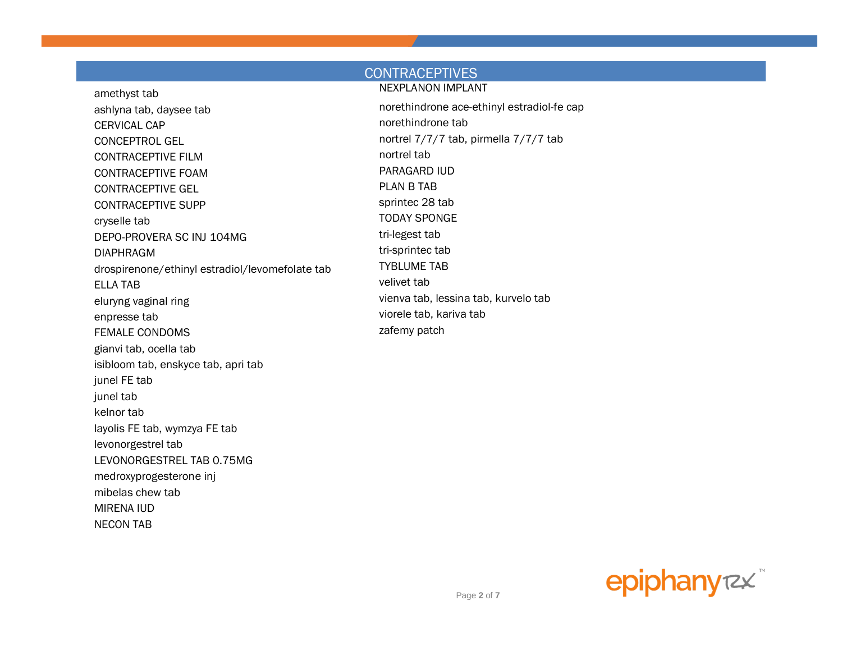#### **CONTRACEPTIVES NEXPLANON IMPLANT** amethyst tab norethindrone ace-ethinyl estradiol-fe cap ashlyna tab, daysee tab norethindrone tab CERVICAL CAP nortrel 7/7/7 tab, pirmella 7/7/7 tab **CONCEPTROL GEL** nortrel tab **CONTRACEPTIVE FILM** PARAGARD IUD **CONTRACEPTIVE FOAM PLAN B TAB CONTRACEPTIVE GEL** sprintec 28 tab **CONTRACEPTIVE SUPP TODAY SPONGE** cryselle tab tri-legest tab DEPO-PROVERA SC INJ 104MG tri-sprintec tab **DIAPHRAGM TYBLUME TAB** drospirenone/ethinyl estradiol/levomefolate tab velivet tab **ELLA TAB** vienva tab, lessina tab, kurvelo tab eluryng vaginal ring viorele tab, kariva tab enpresse tab zafemy patch **FEMALE CONDOMS** gianvi tab, ocella tab isibloom tab, enskyce tab, apri tab junel FE tab junel tab kelnor tab layolis FE tab, wymzya FE tab levonorgestrel tab LEVONORGESTREL TAB 0.75MG medroxyprogesterone inj

mibelas chew tab **MIRENA IUD NECON TAB** 

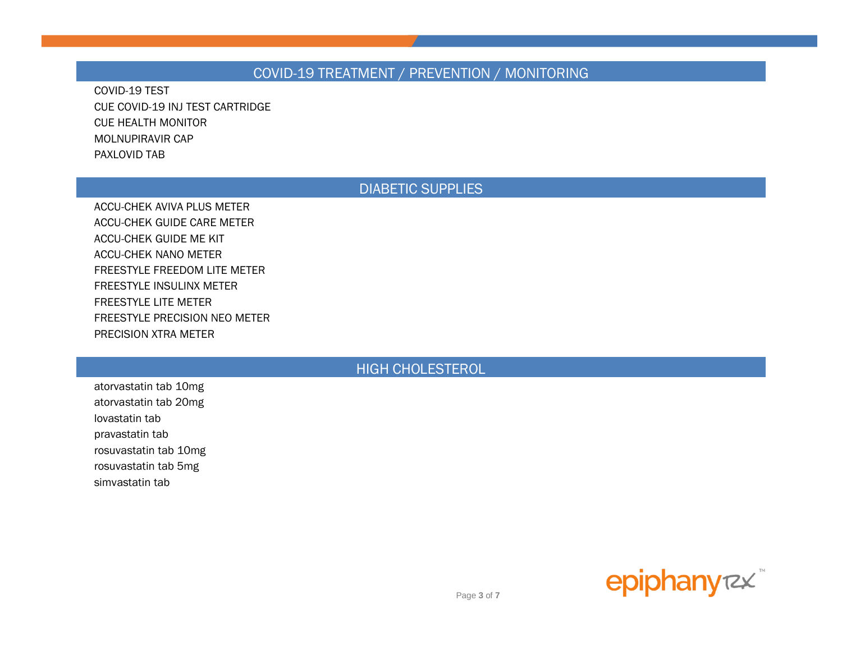### COVID-19 TREATMENT / PREVENTION / MONITORING

COVID-19 TEST CUE COVID-19 INJ TEST CARTRIDGE CUE HEALTH MONITOR MOLNUPIRAVIR CAP PAXLOVID TAB

### DIABETIC SUPPLIES

ACCU-CHEK AVIVA PLUS METER ACCU-CHEK GUIDE CARE METER ACCU-CHEK GUIDE ME KIT ACCU-CHEK NANO METER FREESTYLE FREEDOM LITE METER FREESTYLE INSULINX METER FREESTYLE LITE METER FREESTYLE PRECISION NEO METER PRECISION XTRA METER

#### HIGH CHOLESTEROL

atorvastatin tab 10mg atorvastatin tab 20mg lovastatin tab pravastatin tab rosuvastatin tab 10mg rosuvastatin tab 5mg simvastatin tab

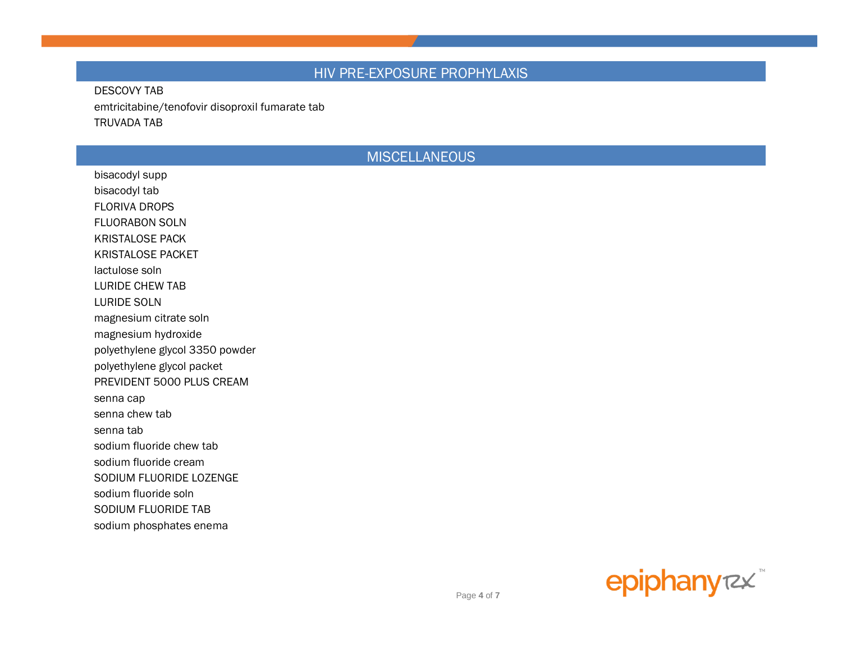#### HIV PRE-EXPOSURE PROPHYLAXIS

#### **DESCOVY TAB** emtricitabine/tenofovir disoproxil fumarate tab **TRUVADA TAB**

#### **MISCELLANEOUS**

bisacodyl supp bisacodyl tab **FLORIVA DROPS FLUORABON SOLN KRISTALOSE PACK KRISTALOSE PACKET** lactulose soln **LURIDE CHEW TAB LURIDE SOLN** magnesium citrate soln magnesium hydroxide polyethylene glycol 3350 powder polyethylene glycol packet PREVIDENT 5000 PLUS CREAM senna cap senna chew tab senna tab sodium fluoride chew tab sodium fluoride cream SODIUM FLUORIDE LOZENGE sodium fluoride soln SODIUM FLUORIDE TAB sodium phosphates enema

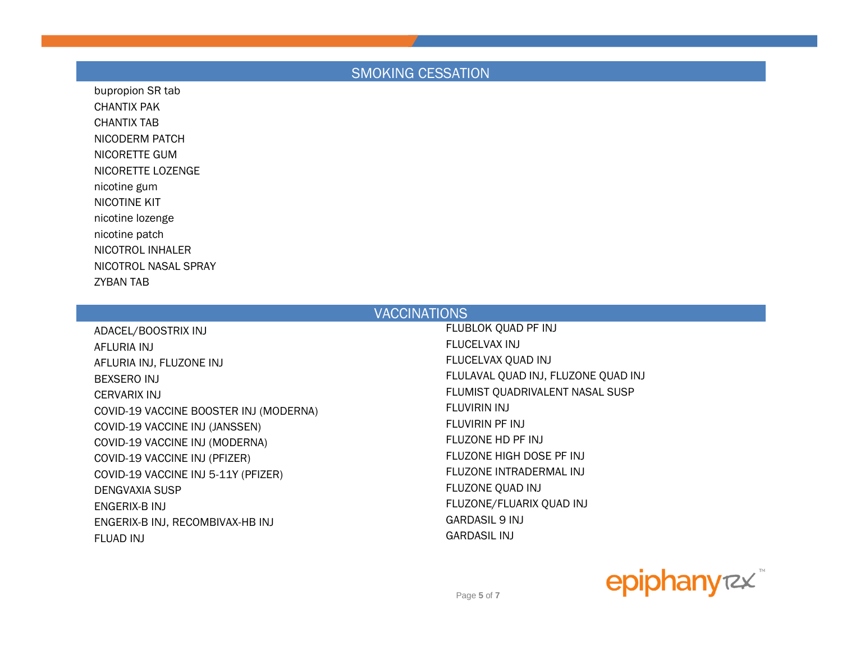# SMOKING CESSATION

bupropion SR tab CHANTIX PAK CHANTIX TAB NICODERM PATCH NICORETTE GUM NICORETTE LOZENGE nicotine gum NICOTINE KIT nicotine lozenge nicotine patch NICOTROL INHALER NICOTROL NASAL SPRAY ZYBAN TAB

| <b>VACCINATIONS</b>                    |                                     |
|----------------------------------------|-------------------------------------|
| ADACEL/BOOSTRIX INJ                    | FLUBLOK QUAD PF INJ                 |
| AFLURIA INJ                            | FLUCELVAX INJ                       |
| AFLURIA INJ, FLUZONE INJ               | FLUCELVAX QUAD INJ                  |
| BEXSERO INJ                            | FLULAVAL QUAD INJ, FLUZONE QUAD INJ |
| CERVARIX INJ                           | FLUMIST QUADRIVALENT NASAL SUSP     |
| COVID-19 VACCINE BOOSTER INJ (MODERNA) | FLUVIRIN INJ                        |
| COVID-19 VACCINE INJ (JANSSEN)         | FLUVIRIN PF INJ                     |
| COVID-19 VACCINE INJ (MODERNA)         | FLUZONE HD PF INJ                   |
| COVID-19 VACCINE INJ (PFIZER)          | FLUZONE HIGH DOSE PF INJ            |
| COVID-19 VACCINE INJ 5-11Y (PFIZER)    | FLUZONE INTRADERMAL INJ             |
| <b>DENGVAXIA SUSP</b>                  | FLUZONE QUAD INJ                    |
| ENGERIX-B INJ                          | FLUZONE/FLUARIX QUAD INJ            |
| ENGERIX-B INJ, RECOMBIVAX-HB INJ       | <b>GARDASIL 9 INJ</b>               |
| FLUAD INJ                              | <b>GARDASIL INJ</b>                 |
|                                        |                                     |

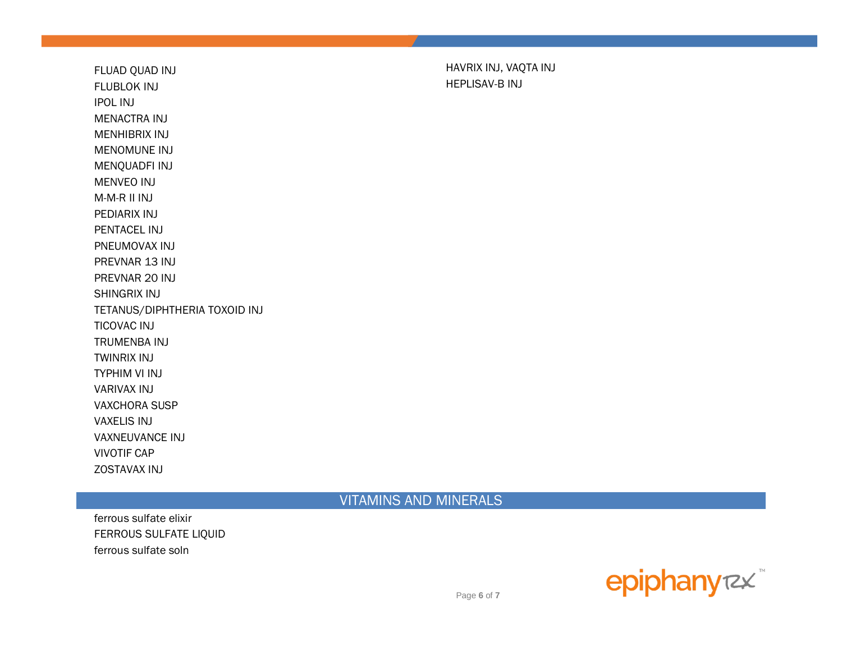FLUBLOK INJ FLUBLOK INJ IPOL INJ MENACTRA INJ MENHIBRIX INJ MENOMUNE INJ MENQUADFI INJ MENVEO INJ M-M-R II INJ PEDIARIX INJ PENTACEL INJ PNEUMOVAX INJ PREVNAR 13 INJ PREVNAR 20 INJ SHINGRIX INJ TETANUS/DIPHTHERIA TOXOID INJ TICOVAC INJ TRUMENBA INJ TWINRIX INJ TYPHIM VI INJ VARIVAX INJ VAXCHORA SUSP VAXELIS INJ VAXNEUVANCE INJ VIVOTIF CAP ZOSTAVAX INJ

FLUAD QUAD INJ FLUAD QUAD INJ

VITAMINS AND MINERALS

ferrous sulfate elixir FERROUS SULFATE LIQUID ferrous sulfate soln